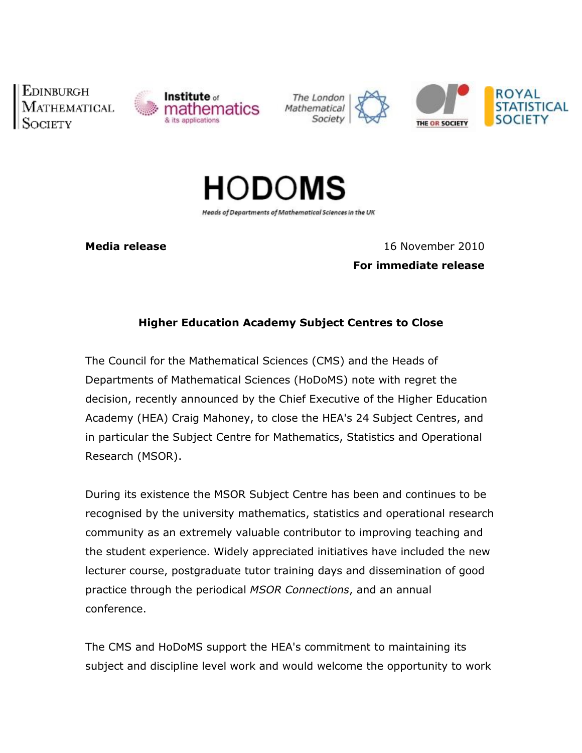**EDINBURGH** 



The London Mathematica Society





Heads of Departments of Mathematical Sciences in the UK

**redia release** 16 November 2010 **immediate release**

## **Education Academy Subject Centres to Close**

 Council for the Mathematical Sciences (CMS) and the Heads of over the country of of the mathematical Sciences (Shis) and the mease of<br>of Mathematical Sciences (HoDoMS) note with regret the beparan, recently announced by the Chief Executive of the Higher Education  $a$ cademyn (HEA) Craig Mahoney, to close the HEA's <sup>24</sup> Subject Centres, and in particular the Subject Centre for Mathematics, Statistics and Operational m partica Research (MSOR).

 its existence the MSOR Subject Centre has been and continues to be recognised the component of the contract of the contract of the contract of the contract of the contract of the contract of the contract of the contract of the contract of the contract of the contract of the contract of th meteries the method surface sent of has seen and committee to be.<br>by the university mathematics, statistics and operational research iccognicca as an extremely valuable contributor to improving teaching and the set of  $\overline{a}$ student experience. Widely appreciated initiatives have included the new ence bede che experience. Where, appressiced inhactves have included the new<br>course, postgraduate tutor training days and dissemination of good processing the contract of the contract of the contract of the contract of the contract of the contract of the contract of the contract of the contract of the contract of the contract of the contract of the contract of the through the periodical *MSOR Connections*, and an annual  $P$  access  $C_{n}$ 

 CMS and HoDoMS support the HEA's commitment to maintaining its  $\cdots$ s subject  $\ddots$ subject and discipline level work and would welcome the opportunity to work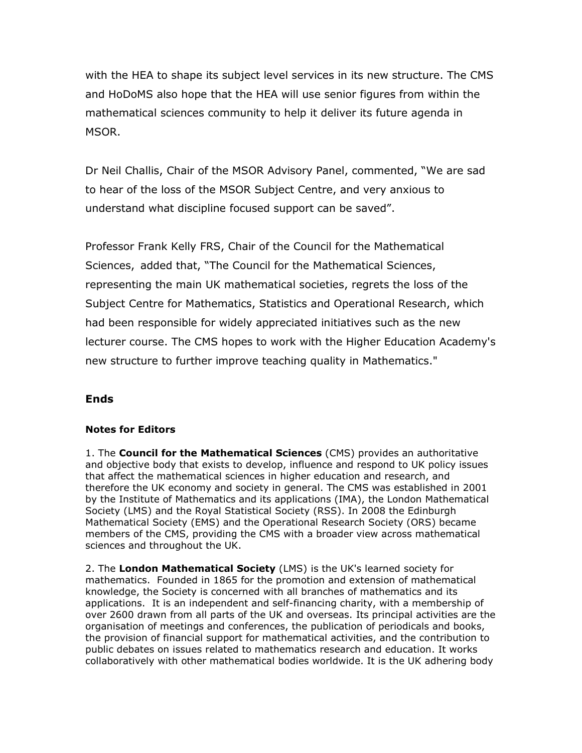the HEA to shape its subject level services in its new structure. The CMS and HoDoMS also hope that the HEA will use senior figures from within the ana nobono sciences community to help it deliver its future agenda in  $\cdots$ MSOR.

Neil Challis, Chair of the MSOR Advisory Panel, commented, "We are sad t<sub>o</sub> hear of the loss of the MSOR Subject Centre, and very anxious to  $\frac{1}{2}$ understand what discipline focused support can be saved".

 Frank Kelly FRS, Chair of the Council for the Mathematical  $\cdots$ sciences, Sciences, added that, "The Council for the Mathematical Sciences, the main UK mathematical societies, regrets the loss of the . Sp. 355 iting the main on mathematical booletics, regrets the loss of the<br>Centre for Mathematics, Statistics and Operational Research, which sup<br>1 been responsible for widely appreciated initiatives such as the new liaa boo resepthene for masily approduced initiatives sach as the new.<br>course. The CMS hopes to work with the Higher Education Academy's news:<br>new structure to further improve teaching quality in Mathematics."

### **for Editors**

1. The **Council for the Mathematical Sciences** (CMS) provides an authoritative 1. The **Council for the Mathematical Sciences** (CMS) provides an authoritative<br>and objective body that exists to develop, influence and respond to UK policy issues and objective body that exists to develop, influence and respond to UK policy issues<br>that affect the mathematical sciences in higher education and research, and that affect the mathematical sciences in higher education and research, and<br>therefore the UK economy and society in general. The CMS was established in 2001 therefore the UK economy and society in general. The CMS was established in 2001<br>by the Institute of Mathematics and its applications (IMA), the London Mathematical by the Institute of Mathematics and its applications (IMA), the London Mathematical<br>Society (LMS) and the Royal Statistical Society (RSS). In 2008 the Edinburgh Society (LMS) and the Royal Statistical Society (RSS). In 2008 the Edinburgh<br>Mathematical Society (EMS) and the Operational Research Society (ORS) became Mathematical Society (EMS) and the Operational Research Society (ORS) became<br>members of the CMS, providing the CMS with a broader view across mathematical<br>sciences and throughout the UK.

2. The London Mathematical Society (LMS) is the UK's learned society for 2. The London Mathematical Society (LMS) is the UK's learned society for<br>mathematics. Founded in 1865 for the promotion and extension of mathematical mathematics. Founded in 1865 for the promotion and extension of mathematical<br>knowledge, the Society is concerned with all branches of mathematics and its knowledge, the Society is concerned with all branches of mathematics and its<br>applications. It is an independent and self-financing charity, with a membership of applications. It is an independent and self-financing charity, with a membership of<br>over 2600 drawn from all parts of the UK and overseas. Its principal activities are the organisation of meetings and conferences, the publication of periodicals and books, organisation of meetings and conferences, the publication of periodicals and books,<br>the provision of financial support for mathematical activities, and the contribution to the provision of financial support for mathematical activities, and the contribution to<br>public debates on issues related to mathematics research and education. It works collaboratively with other mathematical bodies worldwide. It is the UK adhering body